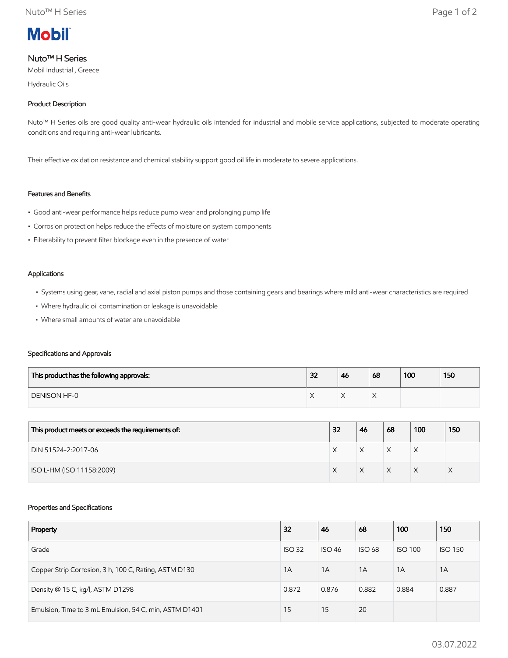

# Nuto™ H Series

Mobil Industrial , Greece

Hydraulic Oils

# Product Description

Nuto™ H Series oils are good quality anti-wear hydraulic oils intended for industrial and mobile service applications, subjected to moderate operating conditions and requiring anti-wear lubricants.

Their effective oxidation resistance and chemical stability support good oil life in moderate to severe applications.

# Features and Benefits

- Good anti-wear performance helps reduce pump wear and prolonging pump life
- Corrosion protection helps reduce the effects of moisture on system components
- Filterability to prevent filter blockage even in the presence of water

#### Applications

- Systems using gear, vane, radial and axial piston pumps and those containing gears and bearings where mild anti-wear characteristics are required
- Where hydraulic oil contamination or leakage is unavoidable
- Where small amounts of water are unavoidable

### Specifications and Approvals

| This product has the following approvals: | 32 | 46 | 68 | 100 | 150 |
|-------------------------------------------|----|----|----|-----|-----|
| DENISON HF-0                              |    |    |    |     |     |

| This product meets or exceeds the requirements of: | 32 | 46 | 68           | 100 | 150 |
|----------------------------------------------------|----|----|--------------|-----|-----|
| DIN 51524-2:2017-06                                |    |    | $\checkmark$ | ⋏   |     |
| ISO L-HM (ISO 11158:2009)                          |    |    | $\checkmark$ |     |     |

### Properties and Specifications

| Property                                               | 32            | 46            | 68            | 100            | 150            |
|--------------------------------------------------------|---------------|---------------|---------------|----------------|----------------|
| Grade                                                  | <b>ISO 32</b> | <b>ISO 46</b> | <b>ISO 68</b> | <b>ISO 100</b> | <b>ISO 150</b> |
| Copper Strip Corrosion, 3 h, 100 C, Rating, ASTM D130  | 1A            | 1A            | 1A            | 1A             | 1A             |
| Density @ 15 C, kg/l, ASTM D1298                       | 0.872         | 0.876         | 0.882         | 0.884          | 0.887          |
| Emulsion, Time to 3 mL Emulsion, 54 C, min, ASTM D1401 | 15            | 15            | 20            |                |                |